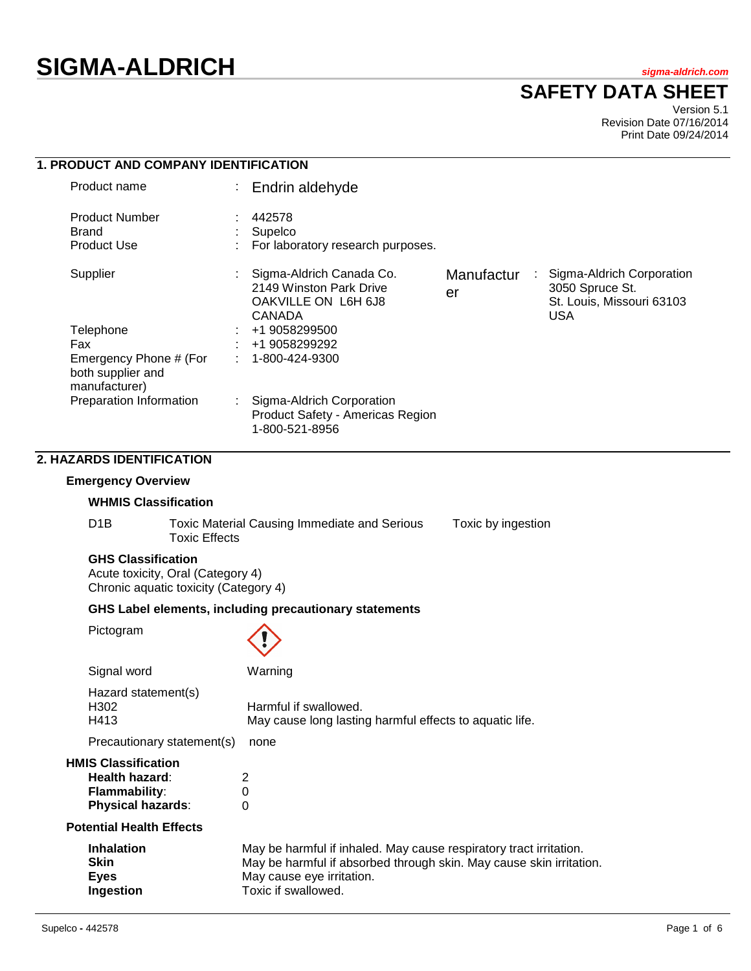# **SIGMA-ALDRICH** *sigma-aldrich.com*

# **SAFETY DATA SHEET**

Version 5.1 Revision Date 07/16/2014 Print Date 09/24/2014

|  |                                                                                           |                                                                                                                                                                                                            | וד <i>בו</i> ט סוגר |
|--|-------------------------------------------------------------------------------------------|------------------------------------------------------------------------------------------------------------------------------------------------------------------------------------------------------------|---------------------|
|  | 1. PRODUCT AND COMPANY IDENTIFICATION                                                     |                                                                                                                                                                                                            |                     |
|  | Product name                                                                              | Endrin aldehyde                                                                                                                                                                                            |                     |
|  | <b>Product Number</b><br><b>Brand</b><br><b>Product Use</b>                               | 442578<br>Supelco<br>For laboratory research purposes.                                                                                                                                                     |                     |
|  | Supplier                                                                                  | Sigma-Aldrich Canada Co.<br>Sigma-Aldrich Corporation<br>Manufactur<br>2149 Winston Park Drive<br>3050 Spruce St.<br>er<br>St. Louis, Missouri 63103<br>OAKVILLE ON L6H 6J8<br><b>USA</b><br><b>CANADA</b> |                     |
|  | Telephone                                                                                 | +1 9058299500                                                                                                                                                                                              |                     |
|  | Fax                                                                                       | +1 9058299292                                                                                                                                                                                              |                     |
|  | Emergency Phone # (For<br>both supplier and<br>manufacturer)                              | 1-800-424-9300                                                                                                                                                                                             |                     |
|  | Preparation Information                                                                   | Sigma-Aldrich Corporation<br>Product Safety - Americas Region<br>1-800-521-8956                                                                                                                            |                     |
|  | 2. HAZARDS IDENTIFICATION                                                                 |                                                                                                                                                                                                            |                     |
|  | <b>Emergency Overview</b>                                                                 |                                                                                                                                                                                                            |                     |
|  | <b>WHMIS Classification</b>                                                               |                                                                                                                                                                                                            |                     |
|  | D <sub>1</sub> B                                                                          | <b>Toxic Material Causing Immediate and Serious</b><br>Toxic by ingestion<br><b>Toxic Effects</b>                                                                                                          |                     |
|  |                                                                                           |                                                                                                                                                                                                            |                     |
|  |                                                                                           | GHS Label elements, including precautionary statements                                                                                                                                                     |                     |
|  | Pictogram                                                                                 |                                                                                                                                                                                                            |                     |
|  | Signal word                                                                               | Warning                                                                                                                                                                                                    |                     |
|  | Hazard statement(s)<br>H302<br>H413                                                       | Harmful if swallowed.<br>May cause long lasting harmful effects to aquatic life.                                                                                                                           |                     |
|  | Precautionary statement(s)                                                                | none                                                                                                                                                                                                       |                     |
|  | <b>HMIS Classification</b><br>Health hazard:<br>Flammability:<br><b>Physical hazards:</b> | 2<br>0<br>0                                                                                                                                                                                                |                     |
|  | <b>Potential Health Effects</b>                                                           |                                                                                                                                                                                                            |                     |
|  | <b>Inhalation</b><br><b>Skin</b><br><b>Eyes</b><br>Ingestion                              | May be harmful if inhaled. May cause respiratory tract irritation.<br>May be harmful if absorbed through skin. May cause skin irritation.<br>May cause eye irritation.<br>Toxic if swallowed.              |                     |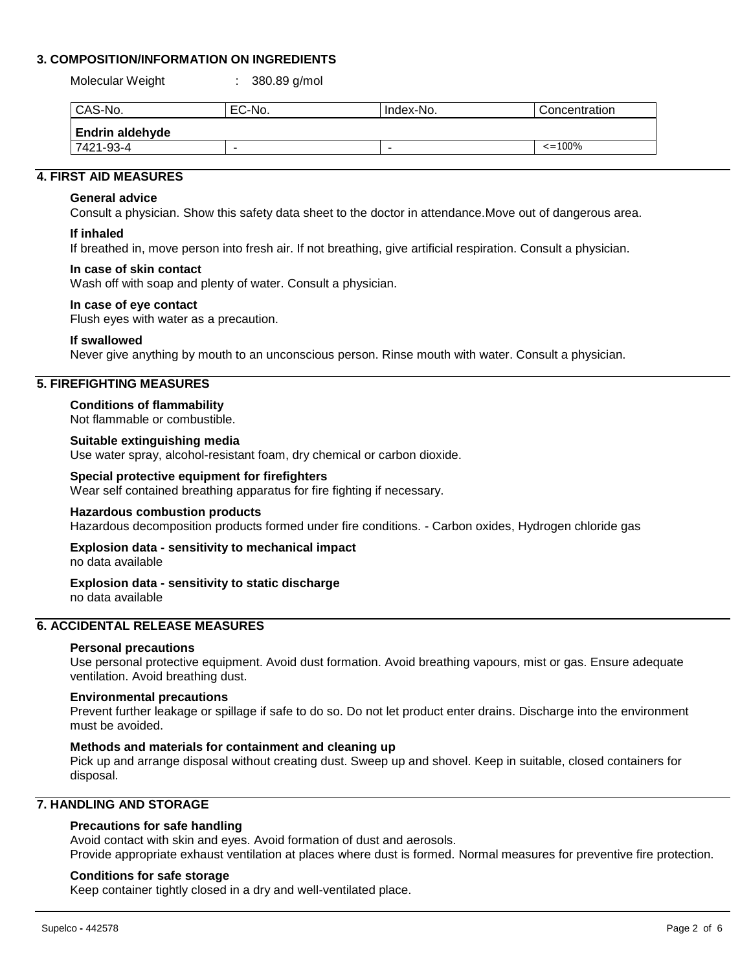# **3. COMPOSITION/INFORMATION ON INGREDIENTS**

Molecular Weight : 380.89 g/mol

| CAS-No.                | EC-No. | Index-No.                | Concentration |  |  |  |
|------------------------|--------|--------------------------|---------------|--|--|--|
| <b>Endrin aldehyde</b> |        |                          |               |  |  |  |
| 7421-93-4              |        | $\overline{\phantom{a}}$ | $\leq$ = 100% |  |  |  |

# **4. FIRST AID MEASURES**

#### **General advice**

Consult a physician. Show this safety data sheet to the doctor in attendance.Move out of dangerous area.

#### **If inhaled**

If breathed in, move person into fresh air. If not breathing, give artificial respiration. Consult a physician.

#### **In case of skin contact**

Wash off with soap and plenty of water. Consult a physician.

#### **In case of eye contact**

Flush eyes with water as a precaution.

#### **If swallowed**

Never give anything by mouth to an unconscious person. Rinse mouth with water. Consult a physician.

# **5. FIREFIGHTING MEASURES**

# **Conditions of flammability**

Not flammable or combustible.

# **Suitable extinguishing media**

Use water spray, alcohol-resistant foam, dry chemical or carbon dioxide.

#### **Special protective equipment for firefighters**

Wear self contained breathing apparatus for fire fighting if necessary.

#### **Hazardous combustion products**

Hazardous decomposition products formed under fire conditions. - Carbon oxides, Hydrogen chloride gas

#### **Explosion data - sensitivity to mechanical impact**

no data available

#### **Explosion data - sensitivity to static discharge**

no data available

# **6. ACCIDENTAL RELEASE MEASURES**

#### **Personal precautions**

Use personal protective equipment. Avoid dust formation. Avoid breathing vapours, mist or gas. Ensure adequate ventilation. Avoid breathing dust.

#### **Environmental precautions**

Prevent further leakage or spillage if safe to do so. Do not let product enter drains. Discharge into the environment must be avoided.

#### **Methods and materials for containment and cleaning up**

Pick up and arrange disposal without creating dust. Sweep up and shovel. Keep in suitable, closed containers for disposal.

# **7. HANDLING AND STORAGE**

#### **Precautions for safe handling**

Avoid contact with skin and eyes. Avoid formation of dust and aerosols. Provide appropriate exhaust ventilation at places where dust is formed. Normal measures for preventive fire protection.

#### **Conditions for safe storage**

Keep container tightly closed in a dry and well-ventilated place.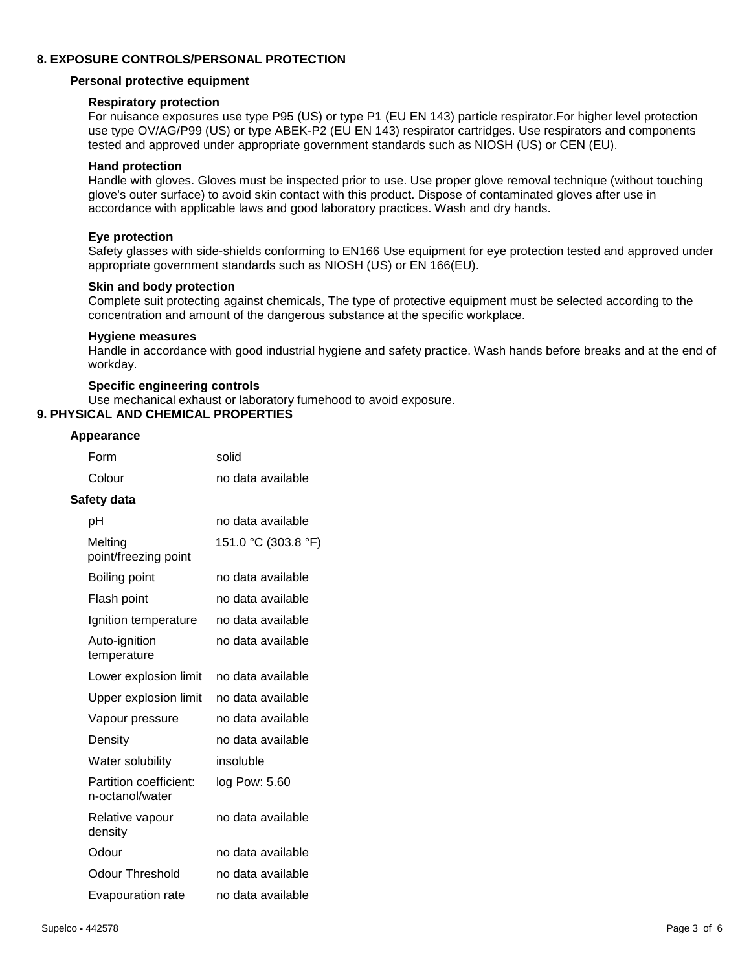#### **8. EXPOSURE CONTROLS/PERSONAL PROTECTION**

#### **Personal protective equipment**

#### **Respiratory protection**

For nuisance exposures use type P95 (US) or type P1 (EU EN 143) particle respirator.For higher level protection use type OV/AG/P99 (US) or type ABEK-P2 (EU EN 143) respirator cartridges. Use respirators and components tested and approved under appropriate government standards such as NIOSH (US) or CEN (EU).

#### **Hand protection**

Handle with gloves. Gloves must be inspected prior to use. Use proper glove removal technique (without touching glove's outer surface) to avoid skin contact with this product. Dispose of contaminated gloves after use in accordance with applicable laws and good laboratory practices. Wash and dry hands.

#### **Eye protection**

Safety glasses with side-shields conforming to EN166 Use equipment for eye protection tested and approved under appropriate government standards such as NIOSH (US) or EN 166(EU).

#### **Skin and body protection**

Complete suit protecting against chemicals, The type of protective equipment must be selected according to the concentration and amount of the dangerous substance at the specific workplace.

#### **Hygiene measures**

Handle in accordance with good industrial hygiene and safety practice. Wash hands before breaks and at the end of workday.

#### **Specific engineering controls**

Use mechanical exhaust or laboratory fumehood to avoid exposure.

#### **9. PHYSICAL AND CHEMICAL PROPERTIES**

#### **Appearance**

| Form                                      | solid               |
|-------------------------------------------|---------------------|
| Colour                                    | no data available   |
| Safety data                               |                     |
| рH                                        | no data available   |
| Melting<br>point/freezing point           | 151.0 °C (303.8 °F) |
| Boiling point                             | no data available   |
| Flash point                               | no data available   |
| Ignition temperature                      | no data available   |
| Auto-ignition<br>temperature              | no data available   |
| Lower explosion limit                     | no data available   |
| Upper explosion limit                     | no data available   |
| Vapour pressure                           | no data available   |
| Density                                   | no data available   |
| Water solubility                          | insoluble           |
| Partition coefficient:<br>n-octanol/water | log Pow: 5.60       |
| Relative vapour<br>density                | no data available   |
| Odour                                     | no data available   |
| <b>Odour Threshold</b>                    | no data available   |
| Evapouration rate                         | no data available   |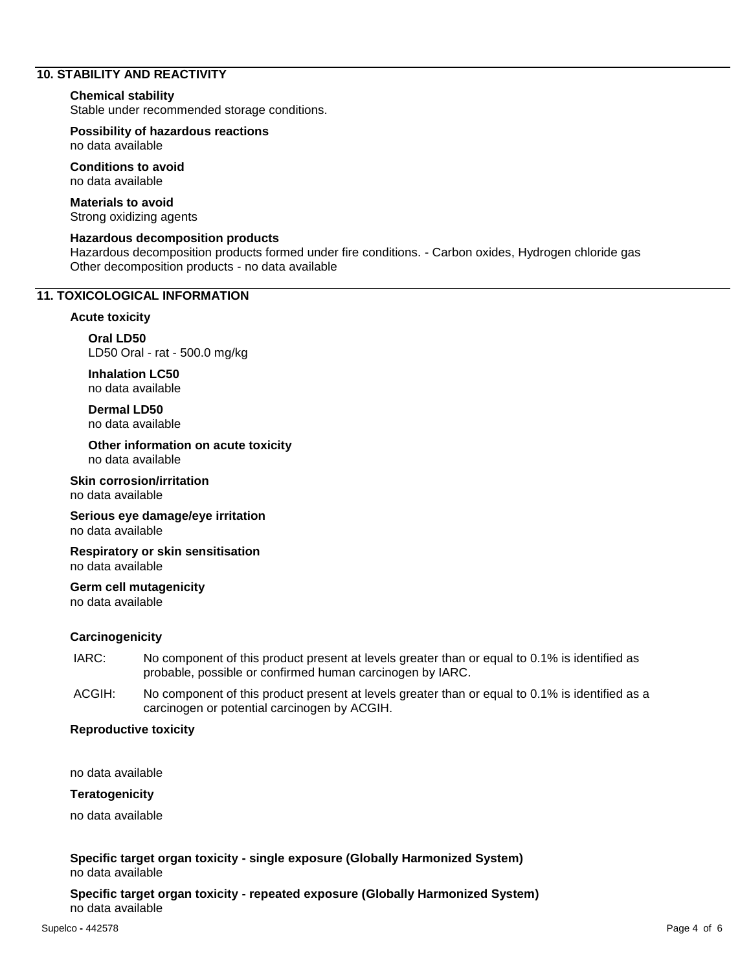# **10. STABILITY AND REACTIVITY**

#### **Chemical stability**

Stable under recommended storage conditions.

**Possibility of hazardous reactions** no data available

**Conditions to avoid** no data available

**Materials to avoid** Strong oxidizing agents

#### **Hazardous decomposition products**

Hazardous decomposition products formed under fire conditions. - Carbon oxides, Hydrogen chloride gas Other decomposition products - no data available

#### **11. TOXICOLOGICAL INFORMATION**

#### **Acute toxicity**

**Oral LD50** LD50 Oral - rat - 500.0 mg/kg

**Inhalation LC50** no data available

**Dermal LD50** no data available

**Other information on acute toxicity** no data available

**Skin corrosion/irritation** no data available

**Serious eye damage/eye irritation** no data available

**Respiratory or skin sensitisation** no data available

**Germ cell mutagenicity** no data available

#### **Carcinogenicity**

- IARC: No component of this product present at levels greater than or equal to 0.1% is identified as probable, possible or confirmed human carcinogen by IARC.
- ACGIH: No component of this product present at levels greater than or equal to 0.1% is identified as a carcinogen or potential carcinogen by ACGIH.

#### **Reproductive toxicity**

no data available

#### **Teratogenicity**

no data available

**Specific target organ toxicity - single exposure (Globally Harmonized System)** no data available

**Specific target organ toxicity - repeated exposure (Globally Harmonized System)** no data available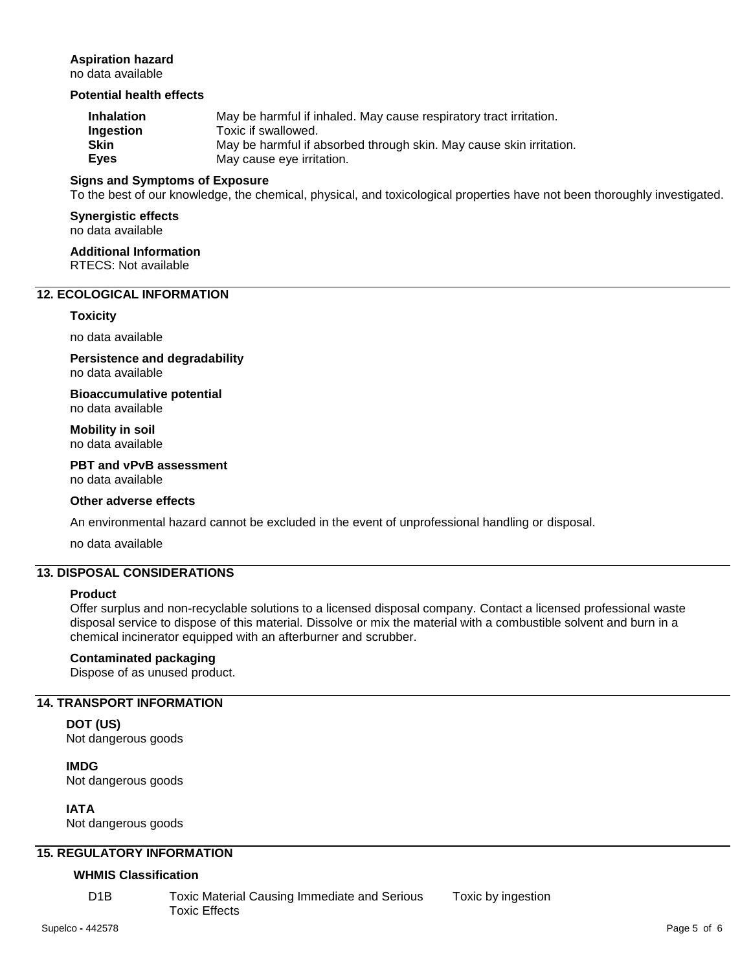# **Aspiration hazard**

no data available

# **Potential health effects**

| <b>Inhalation</b> | May be harmful if inhaled. May cause respiratory tract irritation.  |
|-------------------|---------------------------------------------------------------------|
| Ingestion         | Toxic if swallowed.                                                 |
| Skin              | May be harmful if absorbed through skin. May cause skin irritation. |
| Eyes              | May cause eye irritation.                                           |

#### **Signs and Symptoms of Exposure**

To the best of our knowledge, the chemical, physical, and toxicological properties have not been thoroughly investigated.

# **Synergistic effects**

no data available

**Additional Information** RTECS: Not available

# **12. ECOLOGICAL INFORMATION**

#### **Toxicity**

no data available

**Persistence and degradability** no data available

**Bioaccumulative potential** no data available

**Mobility in soil** no data available

#### **PBT and vPvB assessment** no data available

#### **Other adverse effects**

An environmental hazard cannot be excluded in the event of unprofessional handling or disposal.

no data available

# **13. DISPOSAL CONSIDERATIONS**

#### **Product**

Offer surplus and non-recyclable solutions to a licensed disposal company. Contact a licensed professional waste disposal service to dispose of this material. Dissolve or mix the material with a combustible solvent and burn in a chemical incinerator equipped with an afterburner and scrubber.

# **Contaminated packaging**

Dispose of as unused product.

# **14. TRANSPORT INFORMATION**

**DOT (US)** Not dangerous goods

**IMDG** Not dangerous goods

**IATA**

Not dangerous goods

# **15. REGULATORY INFORMATION**

#### **WHMIS Classification**

D1B Toxic Material Causing Immediate and Serious Toxic Effects

Toxic by ingestion